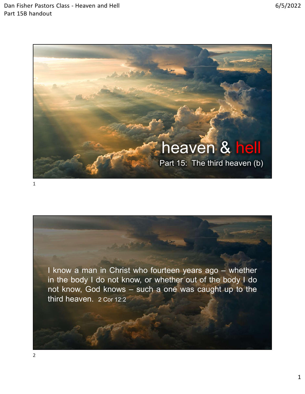



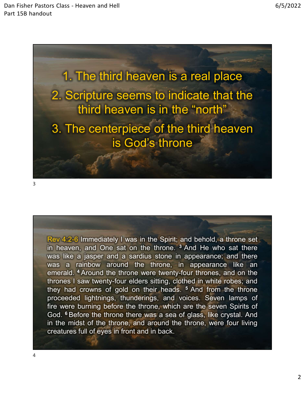

1. The third heaven is a real place 2. Scripture seems to indicate that the third heaven is in the "north" 3. The centerpiece of the third heaven is God's throne 3. The centerpiece of the third heaven<br>is God's throne<br> $R$ <br> $R$ ev 4:2-6 Immediately I was in the Spirit; and behold, a throne set<br>in heaven, and One sat on the throne,  $\frac{3}{10}$  and He who sat there<br>was a rainbow around t

3

3. The centerpiece of the third heaven<br>is God's throne.<br><br>For the throne sat on the spirit; and behold, a throne set<br>in heaven, and One sat on the throne. <sup>3</sup> And He who sat there<br>was like a jasper and a sardius stone in ap 3. The centerpiece of the third heaven<br>is God's throne<br> $\frac{1}{2}$ <br> $\frac{1}{2}$ <br> $\frac{1}{2}$ <br> $\frac{1}{2}$ <br> $\frac{1}{2}$ <br> $\frac{1}{2}$ <br> $\frac{1}{2}$ <br> $\frac{1}{2}$ <br> $\frac{1}{2}$ <br> $\frac{1}{2}$ <br> $\frac{1}{2}$ <br> $\frac{1}{2}$ <br> $\frac{1}{2}$ <br> $\frac{1}{2}$ <br> $\frac{1}{2}$ <br> $\frac{1}{2}$ <br> $\frac{1}{$ is God's throne<br>Rev 4:2-6 Immediately I was in the Spirit; and behold, a throne set<br>in heaven, and One sat on the throne. <sup>3</sup> And He who sat there<br>was like a jasper and a sardius stone in appearance; and there<br>emerald. <sup>4</sup> From 4:2-6 Immediately I was in the Spirit; and behold, a throne set<br>in heaven, and One sat on the throne. <sup>3</sup> And He who sat there<br>was like a jasper and a sardius stone in appearance; and there<br>was a rainbow around the th Rev 4.2-6 Immediately I was in the Spirit; and behold, a throne set<br>tin heaven, and One sat on the throne. <sup>3</sup> And He who sat there<br>was like a jasper and a sardius stone in appearance; and there<br>was a rainbow around the th Rev 4:2-6 Immediately I was in the Spirit; and behold, a throne set<br>in heaven, and One sat on the throne. <sup>3</sup> And He who sat there<br>was like a jasper and a sardius stone in appearance; and there<br>was a rainbow around the thr Rev 4:2-6 Immediately I was in the Spirit; and behold, a throne set<br>in heaven, and One sat on the throne. <sup>3</sup> And He who sat there<br>was like a jasper and a sardius stone in appearance; and there<br>eras a rainbow around the th Rev 4:2-6 Immediately I was in the Spirit; and behold, a throne set<br>in heaven, and One sat on the throne. <sup>3</sup> And He who sat there<br>was like a jasper and a sardius stone in appearance; and there<br>exas a rainbow around the th Rev 4:2-6 Immediately I was in the Spirit; and behold, a throne set<br>in heaven, and One sat on the throne. <sup>3</sup> And He who sat there<br>was like a jasper and a sardius stone in appearance; and there<br>was a rainbow around the thr Rev 4/2-6 Immediately I was in the Spirit; and behold, a throne set<br>in heaven, and One sat on the throne. <sup>3</sup> And He who sat there<br>was like a jasper and a sardius stone in appearance; and there<br>was a rainbow around the thr Rev 4:2-6 Immediately I was in the Spirit; and behold, a throne set<br>in heaven, and One sat on the throne. <sup>3</sup> And He who sat there<br>was like a jasper and a sardius stone in appearance; and there<br>was a rainbow around the thr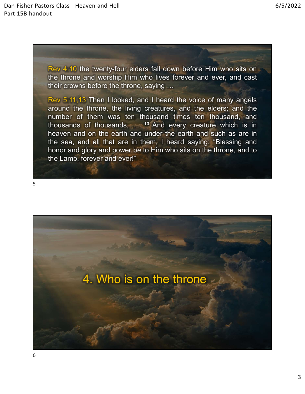ors Class - Heaven and Hell<br>the twenty-four elders fall down before Him who sits on<br>the throne and worship Him who lives forever and ever, and cast<br>their crowns before the throne, saying ...<br>Rev 5:11.13 Then I looked, and for Class - Heaven and Hell<br>the throne and worship Him who lives forever and ever, and cast<br>their crowns before the throne, saying ...<br>Rev 5:11,13 Then I looked, and I heard the voice of many angels<br>around the throne, the or Class - Heaven and Hell<br>the set of the twenty-four elders fall down before Him who sits on<br>the throne and worship Him who lives forever and ever, and cast<br>their crowns before the throne, saying ...<br>Rev 5:11,13 Then I lo

Frace Class - Heaven and Hell<br>
Rev 4:10 the twenty-four elders fall down before Him who sits on<br>
the throne and worship Him who lives forever and ever, and cast<br>
their crowns before the throne, saying ...<br>
Rev 5:11,13 Then From Class - Heaven and Hell<br>
Rev 4:10 the twenty-four elders fall down before Him who sits on<br>
the throne and worship Him who lives forever and ever, and cast<br>
their crowns before the throne, saying ...<br>
Rev 5:11,13 Then number of the method was ten thousands, the search thousands of the search thousand the thousands of thousands, and the method was ten thousand, and the method was ten thousand, and thousands of thousands, and thousand tho From Class - Heaven and Hell<br>
Help (1957)<br>
1992<br>
Help (1968)<br>
1993<br>
Help (1993)<br>
1993<br>
1993<br>
1994<br>
1994<br>
1994<br>
1994<br>
1994<br>
1994<br>
1994<br>
1994<br>
1994<br>
1994<br>
1994<br>
1994<br>
1994<br>
1994<br>
1994<br>
1994<br>
1994<br>
1994<br>
1994<br>
1994<br>
1994<br>
19 From the two determinant of the twenty-four elders fall down before Him who sits on<br>the throne and worship Him who lives forever and ever, and cast<br>their crowns before the throne, saying ...<br> $\frac{1}{2}$ <br> $\frac{1}{2}$ <br> $\frac{1}{2}$ <br> Rev 4:10 the twenty-four elders fall down before Him who sits on<br>the throne and worship Him who lives forever and ever, and cast<br>their crowns before the throne, saying ...<br>Rev 5:11,13 Then I looked, and I heard the voice o **Rev** 4:10 the twenty-four elders fall down before Him who sits on the throne and worship Him who lives forever and ever, and cast their crowns before the throne, saying ...<br>
Rev 5:11,13 Then I looked, and I heard the voi Rev 4:10 the twenty-four elders fall down before Him who sits on<br>the throne and worship Him who lives forever and ever, and cast<br>their crowns before the throne, saying ...<br>Rev 5:11,13 Then I looked, and I heard the voice o

 $5<sub>2</sub>$ 

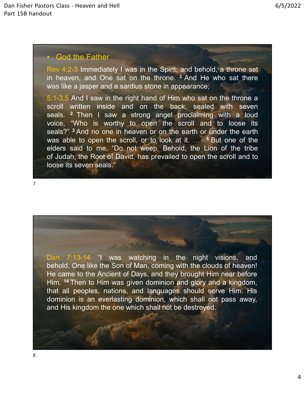ors Class - Heaven and Hell<br>• God the Father<br>Rev 4:2-3 Immediately I was in the Spirit; and behold, a throne :<br>in heaven, and One sat on the throne. <sup>3</sup> And He who sat the<br>was like a jasper and a sardius stone in appearanc ors Class - Heaven and Hell<br>the God the Father<br>Rev 4:2-3 Immediately I was in the Spirit; and behold, a throne set<br>in heaven, and One sat on the throne. <sup>3</sup> And He who sat there<br>was like a jasper and a sardius stone in app in formulately the sat on the Spirit; and behold, a throne set<br>
in heaven, and One sat on the throne. <sup>3</sup> And He who sat there<br>
in heaven, and One sat on the throne. <sup>3</sup> And He who sat there<br>
was like a jasper and a sardiu

ors Class - Heaven and Hell<br>was like a factor of the Father<br>Rev 4:2-3 Immediately I was in the Spirit; and behold, a throne set<br>in heaven, and One sat on the throne. <sup>3</sup> And He who sat there<br>was like a jasper and a sardius <sup>5:1</sup>-3,5 And I saw in the right hand of Him who sat on the spiral and the right hand of Him hand of Him who sat there was like a jasper and a sardius stone in appearance;<br>
5:1-3,5 And I saw in the right hand of Him who sa scroll written inside and the spirit was in the Spirit, and behold, a throne set<br>in heaven, and One sat on the throne. <sup>3</sup> And He who sat there<br>was like a jasper and a sardius stone in appearance;<br>5:1-3.5 And I saw in the Solar Cass - Heaven and Hell<br>
1997 - God the Father<br>
1998 - God the Father<br>
1998 - God the Father<br>
1998 - Sam I saw in the spirit; and behold, a throne set<br>
1998 - Sam I saw a strong angel proclaiming with a loud<br>
1999 - S ors Class - Heaven and Hell<br>
Solomour Contents - God the Father<br>
New 4:2-3 Immediately I was in the Spirit; and behold, a throne set<br>
in heaven, and One sat on the throne. <sup>3</sup> And He who sat there<br>
was like a jasper and a seals. Heaven and Hell<br>**Seals And no one in the Spirit**, and behold, a throne set<br>in heaven, and One sat on the throne. <sup>3</sup> And He who sat there<br>the was like a jasper and a sardius stone in appearance;<br>5:1-3.5 And I saw in was able to the Father<br>was able to operation of the spirit, and behold, a throne set<br>in heaven, and One sat on the throne. <sup>3</sup> And He who sat there<br>was like a jasper and a sardius stone in appearance;<br>scroll written inside elders of the Father New 4:2-3 Immediately I was in the Spirit; and behold, a throne set in heaven, and One sat on the throne.<sup>3</sup> And He who sat there was like a jasper and a sardius stone in appearance;<br>
S:1-3.5 And I sa • God the Father<br>Rev 4:2-3 Immediately I was in the Spirit; and behold, a throne set<br>in heaven, and One sat on the throne. <sup>3</sup> And He who sat there<br>was like a jasper and a sardius stone in appearance;<br>5:1-3,5 And I saw in • God the Father<br>Rev 4:2-3 Immediately I was in the Spirit; and behold, a throne set<br>in heaven, and One sat on the throne. <sup>3</sup> And He who sat there<br>was like a jasper and a sardius stone in appearance;<br> $5:1-3,5$  And I saw

7

seals?" <sup>3</sup> And no one in heaven or on the earth or under the earth<br>was able to open the scroll, or to look at it. ... <sup>5</sup> But one of the<br>elders said to me, "Do not weep, Behold, the Lion of the tribe<br>of Judah, the Root of was able to open the scroll, or to look at it.....<sup>5</sup> But one of the<br>elders said to me, "Do not weep. Behold, the Lion of the tribe<br>of Judah, the Root of David, has prevailed to open the scroll and to<br>loose its seven seals elders said to me, "Do not weep. Behold, the Lion of the tribe<br>of Judah, the Root of David, has prevailed to open the scroll and to<br>loose its seven seals."<br>Denn 7:13-14 "I was watching in the night visions, and<br>He came to of Judah, the Root of David, has prevailed to open the scroll and to<br>loose its seven seals."<br>Dan 7:13-14 "I was watching in the night visions, and<br>behold, One like the Son of Man, coming with the clouds of heaven!<br>Hie came Ioose its seven seals."<br>
Dan 7:13-14 "I was watching in the night visions, and<br>
behold, One like the Son of Man, coming with the clouds of heaven!<br>
He came to the Ancient of Days, and they brought Him near before<br>
Him. <sup>14</sup> Dan 7:13-14 <sup>-</sup> I was watching in the night visions, and behold, One like the Son of Man, coming with the clouds of heaven!<br>He came to the Ancient of Days, and they brought Him near before Him. <sup>14</sup> Then to Him was given d Dan 7:13-14 "I was watching in the night visions, and behold, One like the Son of Man, coming with the cluds of heaven!<br>He came to the Ancient of Days, and they brought Him near before<br>Him. <sup>14</sup> Then to Him was given domin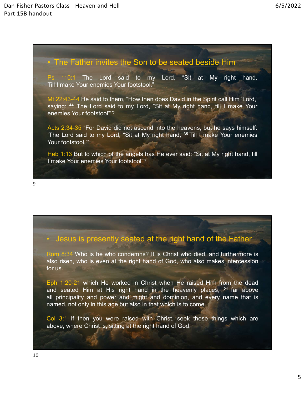ors Class - Heaven and Hell (1972)<br>1991 - The Father invites the Son to be seated beside Him<br>1992 - The Father invites the Son to be seated beside Him<br>1993 - Till I make Your enemies Your footstool."<br>1994 - "Site at Myerig

ors Class - Heaven and Hell<br>
It are the Son to be seated beside Him<br>
Ps 110:1 The Lord said to my Lord, "Sit at My right hand,<br>
Till I make Your enemies Your footstool."<br>
Mt 22:43-44 He said to them, "How then does David i or Class - Heaven and Hell<br>
International Communist<br>
The Father invites the Son to be seated beside Him<br>
Ps 110:1 The Lord said to my Lord, "Sit at My right hand,<br>
Till I make Your enemies Your footstool."<br>
Mt 22:43-44 He ors Class - Heaven and Hell<br>
The Father invites the Son to be seated beside Him<br>
Ps 110:1 The Lord said to my Lord, "Sit at My right hand,<br>
Till I make Your enemies Your footstool."<br>
Mt 22:43-44 He said to them, "How then s Class - Heaven and Hell<br>
1997 - The Father invites the Son to be seated beside Him<br>
1998 - The Lord said to my Lord, "Sit at My right hand,<br>
1998 - The Lord said to them, "How then does David in the Spirit call Him 'Lord ors Class - Heaven and Hell<br>
It<br>
It<br>
It<br>
It<br>
Ps 110:1 The Lord said to my Lord, "Sit at My right ha<br>
Till I make Your enemies Your footstool."<br>
Mt 22:43-44 He said to them, "How then does David in the Spirit call Him "Lo<br> For Class - Heaven and Hell<br>
4: The Father invites the Son to be seated beside Him<br>
179.<br>
179.<br>
179.<br>
179.<br>
179.<br>
179.<br>
179.<br>
179.<br>
179.<br>
179.<br>
179.<br>
179.<br>
179.<br>
179.<br>
179.<br>
179.<br>
179.<br>
179.<br>
179.<br>
179.<br>
179.<br>
179.<br>
179.<br> <sup>1</sup><br>
The Father invites the Son to be seated beside Him<br>
<sup>19</sup><br>
Ps 110:1 The Lord said to my Lord, "Sit at My right hand,<br>
Till I make Your enemies Your footstool."<br>
Mt 22:43-44 He said to them, "How then does David in the The Father invites the Son to be seated beside H<br>
Ps 110:1 The Lord said to my Lord, "Sit at My<br>
Till I make Your enemies Your footstool."<br>
Mt 22:43-44 He said to them, "How then does David in the Spirit ca<br>
saying: <sup>44</sup> ' • The Father invites the Son to be seated beside Him<br>
Fs  $110:1$  The Lord said to my Lord, "Sit at My right hand,<br>
Till I make Your enemies Your footstool."<br>
Mt 22:43-44 He said to them, "How then does David in the Spirit The Father invites the Son to be seated beside Him<br>
Ps 110.1 The Lord said to my Lord, "Sit at My right hand,<br>
Till I make Your enemies Your footstool."<br>
Mt 22-43-44 He said to them, "How then does David in the Spirit call

• Acts 2:34-35 "For David did not ascend into the heavens, but he says himself:<br>
The Lord said to my Lord, "Sit at My right hand, <sup>35</sup> Till I make Your enemies<br>
Your footstool."<br>
Heb 1:13 But to which of the angels has He Acts 2:34-35 "For David did not ascend into the heavens, but he says himself:<br>The Lord said to my Lord, "Sit at My right hand, <sup>35</sup> Till I make Your enemies<br>Your footstool."<br>Heb 1:13 But to which of the angels has He ever

The Lord said to my Lord, "Sit at My right hand, <sup>35</sup> Till I make Your enemies<br>Your footstool."<br>Heb 1:13 But to which of the angels has He ever said: "Sit at My right hand, till<br>make Your enemies Your footstool"?<br><br>• Jesus

Your footstool."<br>
Heb 1:13 But to which of the angels has He ever said: "Sit at M<sub>J</sub><br>
I make Your enemies Your footstool"?<br>
• Jesus is presently seated at the right hand of t<br>
\* Jesus is presently seated at the right hand Heb 1:13 But to which of the angels has He ever said; "Sit at My right hand, till<br>
I make Your enemies Your footstool"?<br>
• Jesus is presently seated at the right hand of the Father<br>
Rom 8:34 Who is he who condenns? It is C Frankline and seated Affrace Court of the seated Affrace Him at His Christ who died, and furthermore is also risen, who is even at the right hand of God, who also makes intercession for us.<br>Fig. 1:20-21 which He worked in **all principality and might and might and of the Father**<br> **allow the S4 Who is he who condenns?** It is Christ who died, and furthermore is<br>
also risen, who is even at the right hand of God, who also makes intercession<br>
for • Jesus is presently seated at the right hand of the Father<br>Rom 8:34 Who is he who condemns? It is Christ who died, and furthermore is<br>also itsen, who is even at the right hand of God, who also makes intercession<br>for us.<br>E **Jesus is presently seated at the right hand of the Father**<br>
Rom 8:34 Who is he who condemns? It is Christ who died, and furthermore is<br>
also risen, who is even at the right hand of God, who also makes intercession<br>
for us • Jesus is presently seated at the right hand of the Father<br>Rom 8:34 Who is he who condemns? It is Christ who died, and furthermore is<br>also risen, who is even at the right hand of God, who also makes intercession<br>for us.<br>E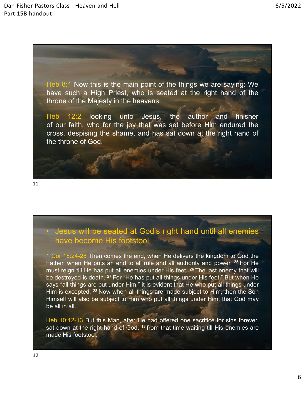

11

must reflexion the sected at God's right hand until all enemies<br>the become His footstool<br>of the fatter, when He puts an end to all rule and all authority and power. <sup>26</sup> For He<br>must reign till He has put all enemies under Be destroyed is death. 27 For the sected at God's right hand until all enemies<br>thave become His footstool<br>1 Cor 15:24-28 Then comes the end, when He delivers the kingdom to God the<br>Father, when He puts an end to all rule Says will be seated at God's right hand until all enemies<br>have become His footstool<br>1 Cor 15:24-28 Then comes the end, when He delivers the kingdom to God the<br>Father, when He puts an end to all rule and all authority and Here the state of the seated at God's right hand until all enemies<br>
thave become His footstool<br>
The for 15:24-28 Then comes the end, when He delivers the kingdom to God the<br>
Father, when He puts an end to all rule and all Hender States will be seated at God's right hand until all enemies<br>
have become His footstool<br>
1 Cor 1524-28 Then comes the end, when He delivers the kingdom to God the<br>
Father, when He puts an end to all rule and all aut • Jesus will be seated at God's right hand until all  $\epsilon$  have become His footstool<br>
1 Cor 15:24-28 Then comes the end, when He delivers the kingdom trather, when He puts an end to all rule and all authority and power.<br>
m • Jesus will be seated at God's right hand until all enemies<br>have become His footstool<br>1 Cor 15:24-28 Then comes the end, when He delivers the kingdom to God the<br>Father, when He puts an end to all rule and all authority a **s** Jesus will be seated at God's right hand until all enemies have become His footstool in the ration of God the Father, when He is an end of all rule and all authority and power. <sup>26</sup> For He frather, when He put all ene • Jesus will be seated at God's right hand until all en<br>have become His footstool.<br>1 Cor 15:24-28 Then comes the end, when He delivers the kingdom to<br>Father, when He puts an end to all rule and all authority and power. <sup>2</sup>